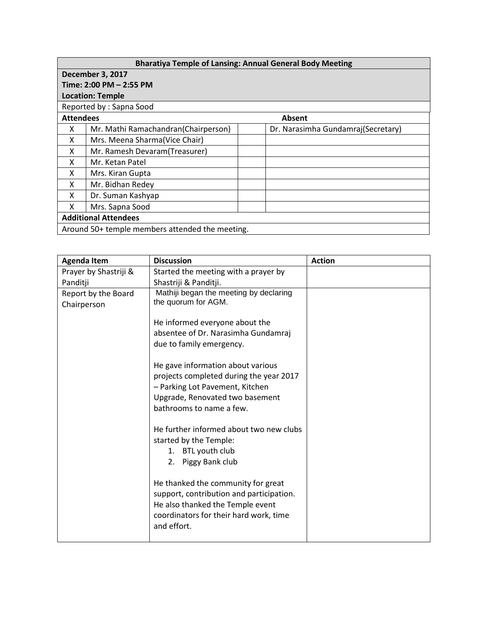## **Bharatiya Temple of Lansing: Annual General Body Meeting**

| <b>December 3, 2017</b>                         |                                      |                                     |  |
|-------------------------------------------------|--------------------------------------|-------------------------------------|--|
| Time: 2:00 PM - 2:55 PM                         |                                      |                                     |  |
| <b>Location: Temple</b>                         |                                      |                                     |  |
| Reported by: Sapna Sood                         |                                      |                                     |  |
|                                                 | <b>Attendees</b><br>Absent           |                                     |  |
| x                                               | Mr. Mathi Ramachandran (Chairperson) | Dr. Narasimha Gundamraj (Secretary) |  |
| X                                               | Mrs. Meena Sharma(Vice Chair)        |                                     |  |
| X                                               | Mr. Ramesh Devaram (Treasurer)       |                                     |  |
| X                                               | Mr. Ketan Patel                      |                                     |  |
| X                                               | Mrs. Kiran Gupta                     |                                     |  |
| X                                               | Mr. Bidhan Redey                     |                                     |  |
| X                                               | Dr. Suman Kashyap                    |                                     |  |
| X                                               | Mrs. Sapna Sood                      |                                     |  |
| <b>Additional Attendees</b>                     |                                      |                                     |  |
| Around 50+ temple members attended the meeting. |                                      |                                     |  |

| <b>Agenda Item</b>    | <b>Discussion</b>                        | <b>Action</b> |
|-----------------------|------------------------------------------|---------------|
| Prayer by Shastriji & | Started the meeting with a prayer by     |               |
| Panditji              | Shastriji & Panditji.                    |               |
| Report by the Board   | Mathiji began the meeting by declaring   |               |
| Chairperson           | the quorum for AGM.                      |               |
|                       |                                          |               |
|                       | He informed everyone about the           |               |
|                       | absentee of Dr. Narasimha Gundamraj      |               |
|                       | due to family emergency.                 |               |
|                       |                                          |               |
|                       | He gave information about various        |               |
|                       | projects completed during the year 2017  |               |
|                       | - Parking Lot Pavement, Kitchen          |               |
|                       | Upgrade, Renovated two basement          |               |
|                       | bathrooms to name a few.                 |               |
|                       |                                          |               |
|                       | He further informed about two new clubs  |               |
|                       | started by the Temple:                   |               |
|                       | 1. BTL youth club                        |               |
|                       | 2. Piggy Bank club                       |               |
|                       |                                          |               |
|                       | He thanked the community for great       |               |
|                       | support, contribution and participation. |               |
|                       | He also thanked the Temple event         |               |
|                       | coordinators for their hard work, time   |               |
|                       | and effort.                              |               |
|                       |                                          |               |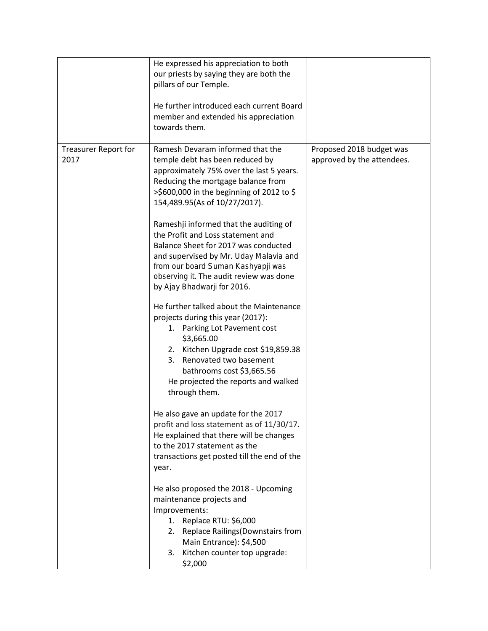|                                     | He expressed his appreciation to both<br>our priests by saying they are both the<br>pillars of our Temple.<br>He further introduced each current Board<br>member and extended his appreciation<br>towards them.                                                                                                                                                                                                                                                                                                                                                                                                                                                                                                                                                                                                                                                                                                                                                                                                                                                                                                                                                                            |                                                        |
|-------------------------------------|--------------------------------------------------------------------------------------------------------------------------------------------------------------------------------------------------------------------------------------------------------------------------------------------------------------------------------------------------------------------------------------------------------------------------------------------------------------------------------------------------------------------------------------------------------------------------------------------------------------------------------------------------------------------------------------------------------------------------------------------------------------------------------------------------------------------------------------------------------------------------------------------------------------------------------------------------------------------------------------------------------------------------------------------------------------------------------------------------------------------------------------------------------------------------------------------|--------------------------------------------------------|
| <b>Treasurer Report for</b><br>2017 | Ramesh Devaram informed that the<br>temple debt has been reduced by<br>approximately 75% over the last 5 years.<br>Reducing the mortgage balance from<br>>\$600,000 in the beginning of 2012 to \$<br>154,489.95(As of 10/27/2017).<br>Rameshji informed that the auditing of<br>the Profit and Loss statement and<br>Balance Sheet for 2017 was conducted<br>and supervised by Mr. Uday Malavia and<br>from our board Suman Kashyapji was<br>observing it. The audit review was done<br>by Ajay Bhadwarji for 2016.<br>He further talked about the Maintenance<br>projects during this year (2017):<br>1. Parking Lot Pavement cost<br>\$3,665.00<br>2. Kitchen Upgrade cost \$19,859.38<br>3. Renovated two basement<br>bathrooms cost \$3,665.56<br>He projected the reports and walked<br>through them.<br>He also gave an update for the 2017<br>profit and loss statement as of 11/30/17.<br>He explained that there will be changes<br>to the 2017 statement as the<br>transactions get posted till the end of the<br>year.<br>He also proposed the 2018 - Upcoming<br>maintenance projects and<br>Improvements:<br>1. Replace RTU: \$6,000<br>2. Replace Railings (Downstairs from | Proposed 2018 budget was<br>approved by the attendees. |
|                                     | Main Entrance): \$4,500<br>3. Kitchen counter top upgrade:<br>\$2,000                                                                                                                                                                                                                                                                                                                                                                                                                                                                                                                                                                                                                                                                                                                                                                                                                                                                                                                                                                                                                                                                                                                      |                                                        |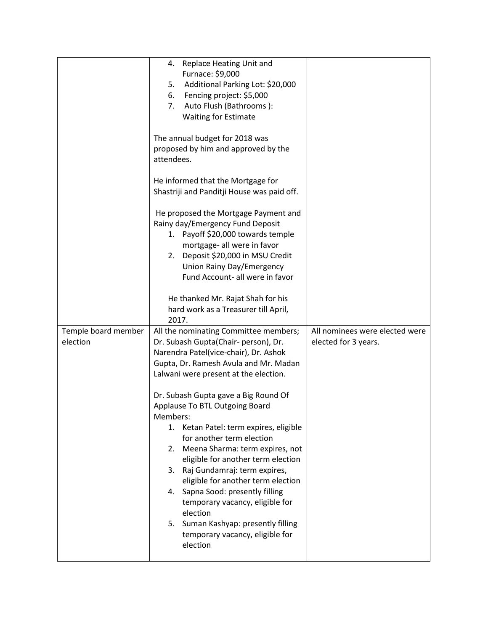|                                 | 4. Replace Heating Unit and<br>Furnace: \$9,000<br>Additional Parking Lot: \$20,000<br>5.<br>Fencing project: \$5,000<br>6.<br>7.<br>Auto Flush (Bathrooms):<br><b>Waiting for Estimate</b>                                                                                                                                                                                                                                                                                                      |                                                        |
|---------------------------------|--------------------------------------------------------------------------------------------------------------------------------------------------------------------------------------------------------------------------------------------------------------------------------------------------------------------------------------------------------------------------------------------------------------------------------------------------------------------------------------------------|--------------------------------------------------------|
|                                 | The annual budget for 2018 was<br>proposed by him and approved by the<br>attendees.                                                                                                                                                                                                                                                                                                                                                                                                              |                                                        |
|                                 | He informed that the Mortgage for<br>Shastriji and Panditji House was paid off.                                                                                                                                                                                                                                                                                                                                                                                                                  |                                                        |
|                                 | He proposed the Mortgage Payment and<br>Rainy day/Emergency Fund Deposit<br>1. Payoff \$20,000 towards temple<br>mortgage- all were in favor<br>2. Deposit \$20,000 in MSU Credit<br>Union Rainy Day/Emergency<br>Fund Account- all were in favor                                                                                                                                                                                                                                                |                                                        |
|                                 | He thanked Mr. Rajat Shah for his<br>hard work as a Treasurer till April,<br>2017.                                                                                                                                                                                                                                                                                                                                                                                                               |                                                        |
| Temple board member<br>election | All the nominating Committee members;<br>Dr. Subash Gupta(Chair- person), Dr.<br>Narendra Patel(vice-chair), Dr. Ashok<br>Gupta, Dr. Ramesh Avula and Mr. Madan<br>Lalwani were present at the election.                                                                                                                                                                                                                                                                                         | All nominees were elected were<br>elected for 3 years. |
|                                 | Dr. Subash Gupta gave a Big Round Of<br>Applause To BTL Outgoing Board<br>Members:<br>Ketan Patel: term expires, eligible<br>1.<br>for another term election<br>Meena Sharma: term expires, not<br>2.<br>eligible for another term election<br>Raj Gundamraj: term expires,<br>3.<br>eligible for another term election<br>4. Sapna Sood: presently filling<br>temporary vacancy, eligible for<br>election<br>5. Suman Kashyap: presently filling<br>temporary vacancy, eligible for<br>election |                                                        |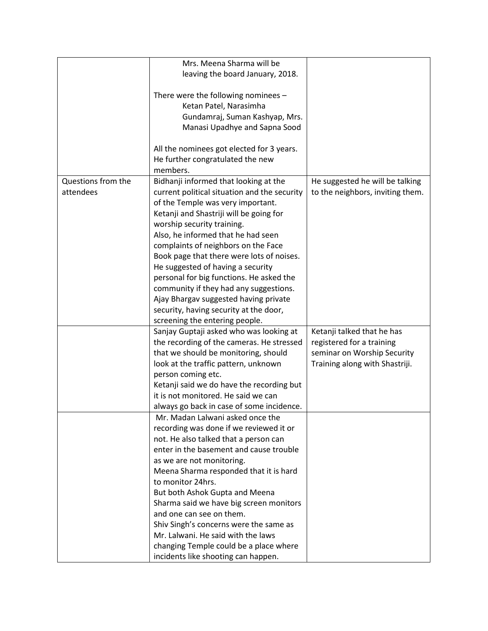|                    | Mrs. Meena Sharma will be                    |                                  |
|--------------------|----------------------------------------------|----------------------------------|
|                    | leaving the board January, 2018.             |                                  |
|                    |                                              |                                  |
|                    | There were the following nominees -          |                                  |
|                    | Ketan Patel, Narasimha                       |                                  |
|                    | Gundamraj, Suman Kashyap, Mrs.               |                                  |
|                    | Manasi Upadhye and Sapna Sood                |                                  |
|                    |                                              |                                  |
|                    |                                              |                                  |
|                    | All the nominees got elected for 3 years.    |                                  |
|                    | He further congratulated the new             |                                  |
|                    | members.                                     |                                  |
| Questions from the | Bidhanji informed that looking at the        | He suggested he will be talking  |
| attendees          | current political situation and the security | to the neighbors, inviting them. |
|                    | of the Temple was very important.            |                                  |
|                    | Ketanji and Shastriji will be going for      |                                  |
|                    | worship security training.                   |                                  |
|                    | Also, he informed that he had seen           |                                  |
|                    | complaints of neighbors on the Face          |                                  |
|                    | Book page that there were lots of noises.    |                                  |
|                    | He suggested of having a security            |                                  |
|                    | personal for big functions. He asked the     |                                  |
|                    | community if they had any suggestions.       |                                  |
|                    | Ajay Bhargav suggested having private        |                                  |
|                    | security, having security at the door,       |                                  |
|                    | screening the entering people.               |                                  |
|                    | Sanjay Guptaji asked who was looking at      | Ketanji talked that he has       |
|                    | the recording of the cameras. He stressed    | registered for a training        |
|                    | that we should be monitoring, should         | seminar on Worship Security      |
|                    | look at the traffic pattern, unknown         | Training along with Shastriji.   |
|                    | person coming etc.                           |                                  |
|                    | Ketanji said we do have the recording but    |                                  |
|                    | it is not monitored. He said we can          |                                  |
|                    | always go back in case of some incidence.    |                                  |
|                    | Mr. Madan Lalwani asked once the             |                                  |
|                    | recording was done if we reviewed it or      |                                  |
|                    | not. He also talked that a person can        |                                  |
|                    | enter in the basement and cause trouble      |                                  |
|                    | as we are not monitoring.                    |                                  |
|                    | Meena Sharma responded that it is hard       |                                  |
|                    | to monitor 24hrs.                            |                                  |
|                    |                                              |                                  |
|                    | But both Ashok Gupta and Meena               |                                  |
|                    | Sharma said we have big screen monitors      |                                  |
|                    | and one can see on them.                     |                                  |
|                    | Shiv Singh's concerns were the same as       |                                  |
|                    | Mr. Lalwani. He said with the laws           |                                  |
|                    | changing Temple could be a place where       |                                  |
|                    | incidents like shooting can happen.          |                                  |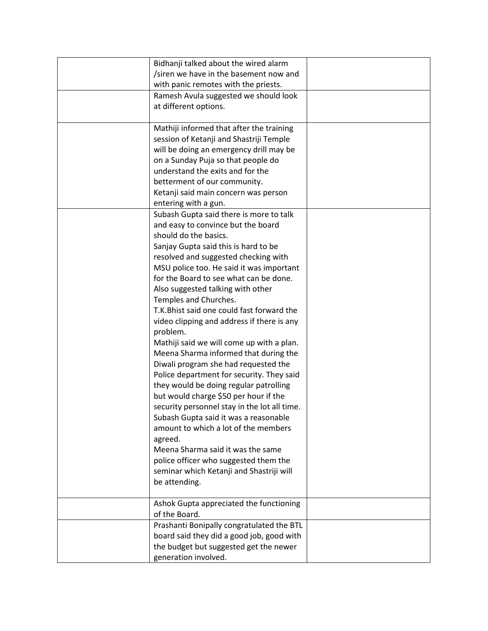| Bidhanji talked about the wired alarm        |  |
|----------------------------------------------|--|
| /siren we have in the basement now and       |  |
| with panic remotes with the priests.         |  |
| Ramesh Avula suggested we should look        |  |
| at different options.                        |  |
|                                              |  |
| Mathiji informed that after the training     |  |
| session of Ketanji and Shastriji Temple      |  |
| will be doing an emergency drill may be      |  |
| on a Sunday Puja so that people do           |  |
| understand the exits and for the             |  |
| betterment of our community.                 |  |
| Ketanji said main concern was person         |  |
| entering with a gun.                         |  |
| Subash Gupta said there is more to talk      |  |
| and easy to convince but the board           |  |
| should do the basics.                        |  |
| Sanjay Gupta said this is hard to be         |  |
| resolved and suggested checking with         |  |
| MSU police too. He said it was important     |  |
| for the Board to see what can be done.       |  |
| Also suggested talking with other            |  |
| Temples and Churches.                        |  |
| T.K. Bhist said one could fast forward the   |  |
| video clipping and address if there is any   |  |
| problem.                                     |  |
| Mathiji said we will come up with a plan.    |  |
| Meena Sharma informed that during the        |  |
| Diwali program she had requested the         |  |
| Police department for security. They said    |  |
| they would be doing regular patrolling       |  |
| but would charge \$50 per hour if the        |  |
| security personnel stay in the lot all time. |  |
| Subash Gupta said it was a reasonable        |  |
| amount to which a lot of the members         |  |
| agreed.                                      |  |
| Meena Sharma said it was the same            |  |
| police officer who suggested them the        |  |
| seminar which Ketanji and Shastriji will     |  |
| be attending.                                |  |
|                                              |  |
| Ashok Gupta appreciated the functioning      |  |
| of the Board.                                |  |
| Prashanti Bonipally congratulated the BTL    |  |
| board said they did a good job, good with    |  |
| the budget but suggested get the newer       |  |
| generation involved.                         |  |